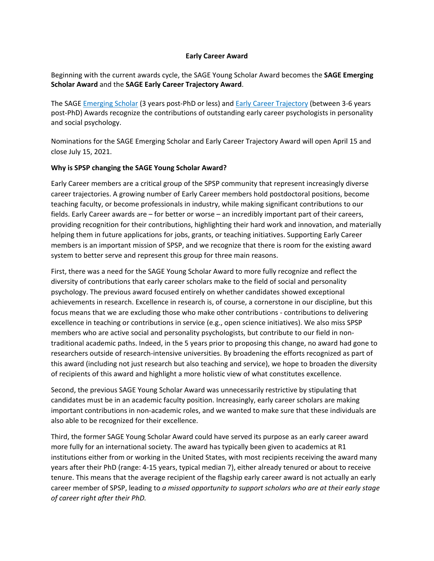### **Early Career Award**

Beginning with the current awards cycle, th[e SAGE](https://spsp.org/awards/annualawards/earlycareer/sage-young-scholars) Young Scholar Award becomes the **SAGE Emerging Scholar Award** and the **[SAGE](https://spsp.org/awards/annualawards/earlycareer/sage-early-career-trajectory) Early Career Trajectory Award**.

The [SAGE Emerging Scholar](https://spsp.org/awards/annualawards/earlycareer/sage-emerging-scholar) (3 years post-PhD or less) and [Early Career Trajectory](https://spsp.org/awards/annualawards/earlycareer/sage-early-career-trajectory) (between 3-6 years post-PhD) Awards recognize the contributions of outstanding early career psychologists in personality and social psychology.

Nominations for the SAGE Emerging Scholar and Early Career Trajectory Award will open April 15 and close July 15, 2021.

## **Why is SPSP changing the SAGE Young Scholar Award?**

Early Career members are a critical group of the SPSP community that represent increasingly diverse career trajectories. A growing number of Early Career members hold postdoctoral positions, become teaching faculty, or become professionals in industry, while making significant contributions to our fields. Early Career awards are – for better or worse – an incredibly important part of their careers, providing recognition for their contributions, highlighting their hard work and innovation, and materially helping them in future applications for jobs, grants, or teaching initiatives. Supporting Early Career members is an important mission of SPSP, and we recognize that there is room for the existing award system to better serve and represent this group for three main reasons.

First, there was a need for the SAGE Young Scholar Award to more fully recognize and reflect the diversity of contributions that early career scholars make to the field of social and personality psychology. The previous award focused entirely on whether candidates showed exceptional achievements in research. Excellence in research is, of course, a cornerstone in our discipline, but this focus means that we are excluding those who make other contributions - contributions to delivering excellence in teaching or contributions in service (e.g., open science initiatives). We also miss SPSP members who are active social and personality psychologists, but contribute to our field in nontraditional academic paths. Indeed, in the 5 years prior to proposing this change, no award had gone to researchers outside of research-intensive universities. By broadening the efforts recognized as part of this award (including not just research but also teaching and service), we hope to broaden the diversity of recipients of this award and highlight a more holistic view of what constitutes excellence.

Second, the previous SAGE Young Scholar Award was unnecessarily restrictive by stipulating that candidates must be in an academic faculty position. Increasingly, early career scholars are making important contributions in non-academic roles, and we wanted to make sure that these individuals are also able to be recognized for their excellence.

Third, the former SAGE Young Scholar Award could have served its purpose as an early career award more fully for an international society. The award has typically been given to academics at R1 institutions either from or working in the United States, with most recipients receiving the award many years after their PhD (range: 4-15 years, typical median 7), either already tenured or about to receive tenure. This means that the average recipient of the flagship early career award is not actually an early career member of SPSP, leading to *a missed opportunity to support scholars who are at their early stage of career right after their PhD.*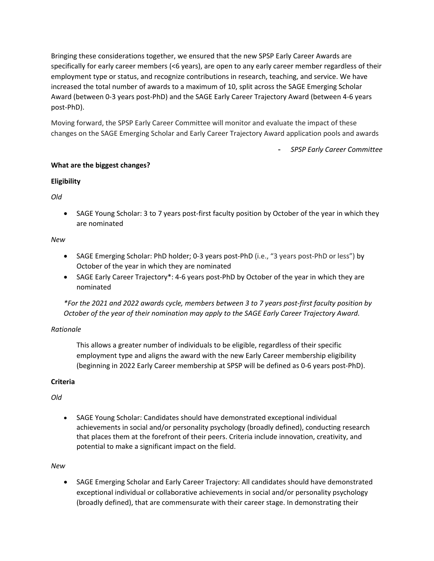Bringing these considerations together, we ensured that the new SPSP Early Career Awards are specifically for early career members (<6 years), are open to any early career member regardless of their employment type or status, and recognize contributions in research, teaching, and service. We have increased the total number of awards to a maximum of 10, split across the SAGE Emerging Scholar Award (between 0-3 years post-PhD) and the SAGE Early Career Trajectory Award (between 4-6 years post-PhD).

Moving forward, the SPSP Early Career Committee will monitor and evaluate the impact of these changes on the SAGE Emerging Scholar and Early Career Trajectory Award application pools and awards

- *SPSP Early Career Committee*

# **What are the biggest changes?**

## **Eligibility**

*Old*

• SAGE Young Scholar: 3 to 7 years post-first faculty position by October of the year in which they are nominated

# *New*

- SAGE Emerging Scholar: PhD holder; 0-3 years post-PhD (i.e., "3 years post-PhD or less") by October of the year in which they are nominated
- SAGE Early Career Trajectory\*: 4-6 years post-PhD by October of the year in which they are nominated

*\*For the 2021 and 2022 awards cycle, members between 3 to 7 years post-first faculty position by October of the year of their nomination may apply to the SAGE Early Career Trajectory Award.*

# *Rationale*

This allows a greater number of individuals to be eligible, regardless of their specific employment type and aligns the award with the new Early Career membership eligibility (beginning in 2022 Early Career membership at SPSP will be defined as 0-6 years post-PhD).

# **Criteria**

*Old*

• SAGE Young Scholar: Candidates should have demonstrated exceptional individual achievements in social and/or personality psychology (broadly defined), conducting research that places them at the forefront of their peers. Criteria include innovation, creativity, and potential to make a significant impact on the field.

*New*

• SAGE Emerging Scholar and Early Career Trajectory: All candidates should have demonstrated exceptional individual or collaborative achievements in social and/or personality psychology (broadly defined), that are commensurate with their career stage. In demonstrating their